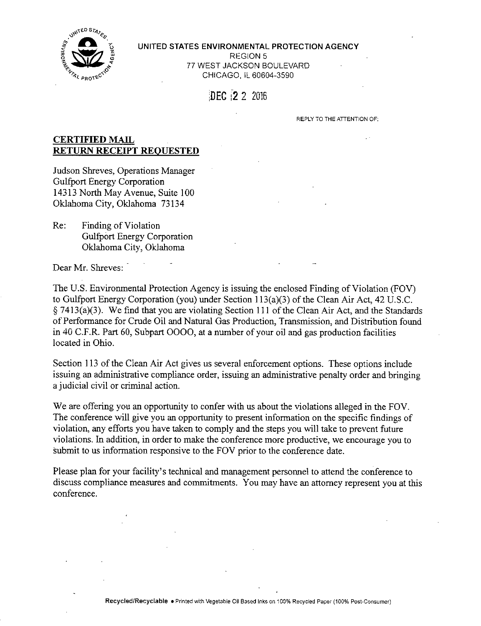

#### **UNITED STATES ENVIRONMENTAL PROTECTION AGENCY**

REGION 5 77 WEST JACKSON BOULEVARD CHICAGO. IL 60604-3590

# DEC i2 2 2016

REPLY TO THE ATTENTION OF:

## **CERTIFIED MAIL RETURN RECEIPT REQUESTED**

Judson Shreves, Operations Manager Gulfport Energy Corporation 14313 North May Avenue, Suite 100 Oklahoma City, Oklahoma 73134

Re: Finding of Violation Gulfport Energy Corporation Oklahoma City, Oklahoma

Dear Mr. Shreves:

The U.S. Environmental Protection Agency is issuing the enclosed Finding of Violation (FOV) to Gulfport Energy Corporation (you) under Section 113(a)(3) of the Clean Air Act, 42 U.S.C. § 7413(a)(3). We find that you are violating Section 111 of the Clean Air Act, and the Standards of Performance for Crude Oil and Natural Gas Production, Transmission, and Distribution found in 40 C.F.R. Part 60, Subpart 0000, at a number of your oil and gas production facilities located in Ohio.

Section 113 of the Clean Air Act gives us several enforcement options. These options include issuing an administrative compliance order, issuing an administrative penalty order and bringing a judicial civil or criminal action.

We are offering you an opportunity to confer with us about the violations alleged in the FOV. The conference will give you an opportunity to present information on the specific fmdings of violation, any efforts you have taken to comply and the steps you will take to prevent future violations. In addition, in order to make the conference more productive, we encourage you to submit to us information responsive to the FOV prior to the conference date.

Please plan for your facihty's technical and management personnel to attend the conference to discuss compliance measures and commitments. You may have an attorney represent you at this conference.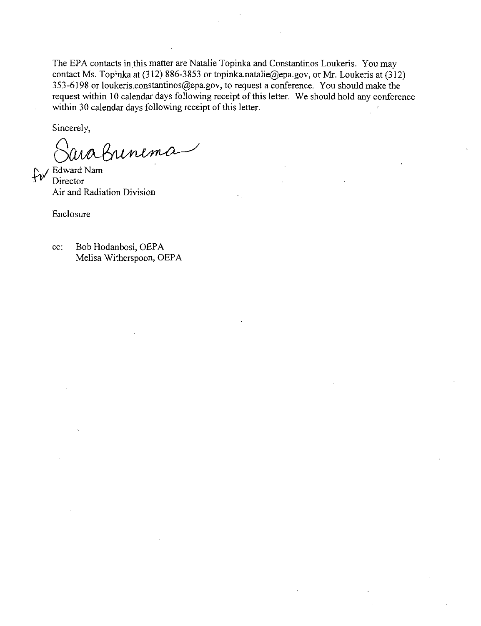The EPA contacts in this matter are Natalie Topinka and Constantinos Loukeris. You may contact Ms. Topinka at (312) 886-3853 or [topinka.natalie@epa.gov,](mailto:topinka.natalie@epa.gov) or Mr. Loukeris at (312) 353-6198 or [loukeris.constantinos@epa.gov,](mailto:loukeris.constantinos@epa.gov) to request a conference. You should make the request within 10 calendar days following receipt of this letter. We should hold any conference within 30 calendar days following receipt of this letter.

Sincerely,

ua Buneme

 $f_{\text{IV}}$  Edward Nam **Director** Air and Radiation Division

Enclosure

cc: Bob Hodanbosi, OEPA Melisa Witherspoon, OEPA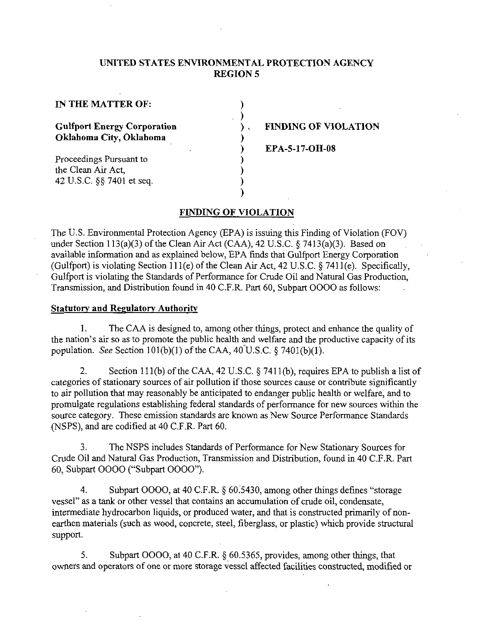### **UNITED STATES ENVIRONMENTAL PROTECTION AGENCY REGION 5**

)  $\mathcal{E}$  $\lambda$ 

**IN THE MATTER OF:** 

**Gulfport Energy Corporation Oklahoma City, Oklahoma** 

Proceedings Pursuant to the Clean Air Act, 42 U.S.C. §§ 7401 et seq.

## **FINDING OF VIOLATION**

**EPA-5-17-OH-08** 

#### **FINDING OF VIOLATION**

The U.S. Environmental Protection Agency (EPA) is issuing this Finding of Violation (FOV) under Section 113(a)(3) of the Clean Air Act (CAA), 42 U.S.C. § 7413(a)(3). Based on available information and as explained below, EPA finds that Gulfport Energy Corporation (Gulfport) is violating Section 111 (e) of the Clean Air Act, 42 U.S.C. § 7411 (e). Specifically, Gulfport is violating the Standards of Performance for Crude Oil and Natural Gas Production, Transmission, and Distribution found in 40 C.F.R. Part 60, Subpart 0000 as follows:

#### **Statutory and Regulatory Authority**

1. The CAA is designed to, among other things, protect and enhance the quality of the nation's air so as to promote the public health and welfare and the productive capacity of its population. See Section 101(b)(1) of the CAA, 40 U.S.C.  $\S$  7401(b)(1).

2. Section 111(b) of the CAA, 42 U.S.C. § 7411(b), requires EPA to publish a list of categories of stationary sources of air pollution if those sources cause or contribute significantly to air pollution that may reasonably be anticipated to endanger public health or welfare, and to promulgate regulations establishing federal standards of performance for new sources within the source category. These emission standards are known as New Source Performance Standards (NSPS), and are codified at 40 C.F.R. Part 60.

3. The NSPS includes Standards of Performance for New Stationary Sources for Crude Oil and Natural Gas Production, Transmission and Distribution, found in 40 C.F.R. Part 60, Subpart 0000 ("Subpart 0000").

4. Subpart 0000, at 40 C.F.R. § 60.5430, among other things defines "storage vessel" as a tank or other vessel that contains an accumulation of crude oil, condensate, intermediate hydrocarbon liquids, or produced water, and that is constructed primarily of nonearthen materials (such as wood, concrete, steel, fiberglass, or plastic) which provide structural support.

5. Subpart GGOO, at 40 C.F.R. § 60.5365, provides, among other things, that owners and operators of one or more storage vessel affected facilities constructed, modified or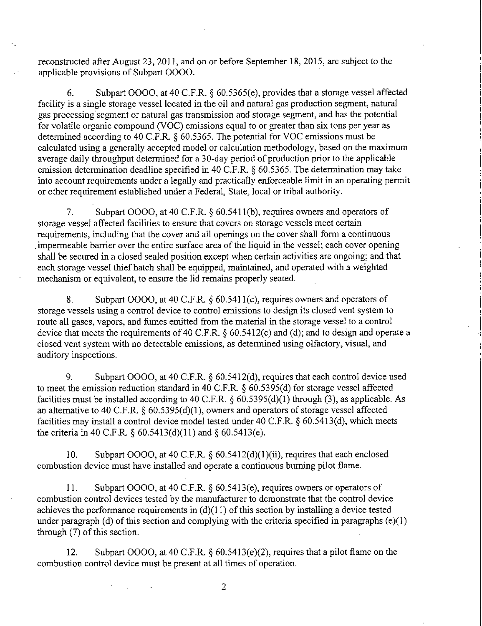reconstructed after August 23, 2011, and on or before September 18, 2015, are subject to the applicable provisions of Subpart 0000.

6. Subpart OGOO, at 40 C.F.R. § 60.5365(e), provides that a storage vessel affected facility is a single storage vessel located in the oil and natural gas production segment, natural gas processing segment or natural gas transmission and storage segment, and has the potential for volatile organic compound (VOC) emissions equal to or greater than six tons per year as determined according to 40 C.F.R. § 60.5365. The potential for VOC emissions must be calculated using a generally accepted model or calculation methodology, based on the maximum average daily throughput determined for a 30-day period of production prior to the applicable emission determination deadline specified in 40 C.F.R. § 60.5365. The determination may take into account requirements under a legally and practically enforceable limit in an operating permit or other requirement established under a Federal, State, local or tribal authority.

7. Subpart OGOO, at 40 C.F.R. § 60.5411(b), requires owners and operators of storage vessel affected facilities to ensure that covers on storage vessels meet certain requirements, including that the cover and all openings on the cover shall form a continuous .impermeable barrier over the entire surface area of the liquid in the vessel; each cover opening shall be secured in a closed sealed position except when certain activities are ongoing; and that each storage vessel thief hatch shall be equipped, maintained, and operated with a weighted mechanism or equivalent, to ensure the lid remains properly seated.

8. Subpart OOOO, at 40 C.F.R. § 60.5411(c), requires owners and operators of storage vessels using a control device to control emissions to design its closed vent system to route all gases, vapors, and fumes emitted from the material in the storage vessel to a control device that meets the requirements of 40 C.F.R. § 60.5412(c) and (d); and to design and operate a closed vent system with no detectable emissions, as determined using olfactory, visual, and auditory inspections.

9. Subpart OOOO, at 40 C.F.R. § 60.5412(d), requires that each control device used to meet the emission reduction standard in 40 C.F.R. § 60.5395(d) for storage vessel affected facilities must be installed according to 40 C.F.R.  $\S$  60.5395(d)(1) through (3), as applicable. As an alternative to 40 C.F.R. § 60.5395(d)(1), owners and operators of storage vessel affected facilities may install a control device model tested under 40 C.F.R. § 60.5413(d), which meets the criteria in 40 C.F.R.  $\S 60.5413(d)(11)$  and  $\S 60.5413(e)$ .

10. Subpart OOOO, at 40 C.F.R. § 60.5412(d)(1)(ii), requires that each enclosed combustion device must have installed and operate a continuous burning pilot flame.

11. Subpart GGOG, at 40 C.F.R. § 60.5413(e), requires owners or operators of combustion control devices tested by the manufacturer to demonstrate that the control device achieves the performance requirements in  $(d)(11)$  of this section by installing a device tested under paragraph (d) of this section and complying with the criteria specified in paragraphs (e)(1) through (7) of this section.

12. Subpart OOOO, at 40 C.F.R. § 60.5413(e)(2), requires that a pilot flame on the combustion control device must be present at all times of operation.

 $\overline{2}$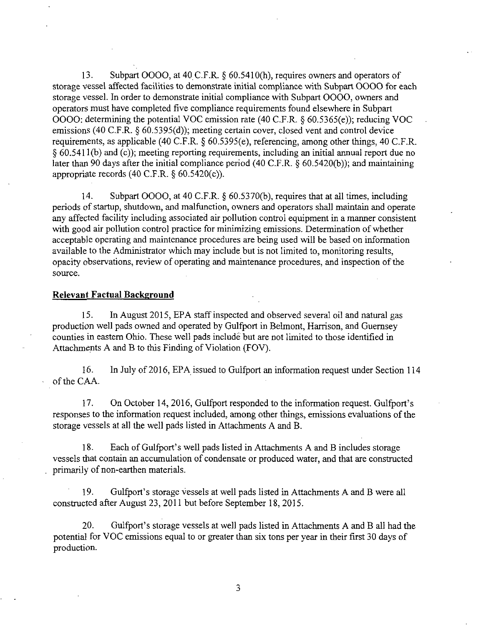13. Subpart 0000, at 40 C.F.R. § 60.5410(h), requires owners and operators of storage vessel affected facilities to demonstrate initial compliance with Subpart 0000 for each storage vessel. In order to demonstrate initial compliance with Subpart 0000, owners and operators must have completed five compliance requirements found elsewhere in Subpart 0000: determining the potential VOC emission rate (40 C.F.R. § 60.5365(e)); reducing VOC emissions (40 C.F.R. § 60.5395(d)); meeting certain cover, closed vent and control device requirements, as applicable (40 C.F.R. § 60.5395(e), referencing, among other things, 40 C.F.R. § 60.5411(b) and (c)); meeting reporting requirements, including an initial annual report due no later than 90 days after the initial compliance period (40 C.F.R. § 60.5420(b)); and maintaining appropriate records  $(40 \text{ C.F.R. } § 60.5420(c))$ .

14. Subpart OOOO, at 40 C.F.R. § 60.5370(b), requires that at all times, including periods of startup, shutdown, and malfunction, owners and operators shall maintain and operate any affected facility including associated air pollution control equipment in a manner consistent with good air pollution control practice for minimizing emissions. Determination of whether acceptable operating and maintenance procedures are being used will be based on information available to the Administrator which may include but is not limited to, monitoring results, opacity observations, review of operating and maintenance procedures, and inspection of the source.

#### **Relevant Factual Background**

15. In August 2015, EPA staff inspected and observed several oil and natural gas production well pads owned and operated by Gulfport in Belmont, Harrison, and Guernsey counties in eastem Ohio. These well pads include but are not limited to those identified in Attachments A and B to this Finding of Violation (FOV).

16. In July of 2016, EPA issued to Gulfyort an information request under Section 114 of the CAA.

17. On October 14, 2016, Gulfport responded to the information request. Gulfyort's responses to the information request included, among other things, emissions evaluations of the storage vessels at all the well pads listed in Attachments A and B.

18. Each of Gulfport's well pads listed in Attachments A and B includes storage vessels that contain an accumulation of condensate or produced water, and that are constructed primarily of non-earthen materials.

19. Gulfport's storage vessels at well pads listed in Attachments A and B were all constructed after August 23, 2011 but before September 18, 2015.

20. Gulfport's storage vessels at well pads listed in Attachments A and B all had the potential for VOC emissions equal to or greater than six tons per year in their first 30 days of production.

3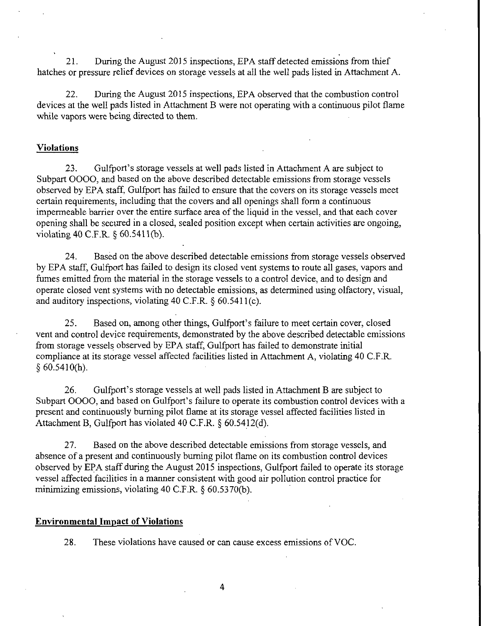21. During the August 2015 inspections, EPA staff detected emissions from thief hatches or pressure relief devices on storage vessels at all the well pads listed in Attachment A.

22. During the August 2015 inspections, EPA observed that the combustion control devices at the well pads listed in Attachment B were not operating with a continuous pilot flame while vapors were being directed to them.

#### **Violations**

23. Gulfport's storage vessels at well pads listed in Attachment A are subject to Subpart 0000, and based on the above described detectable emissions from storage vessels observed by EPA staff, Gulfport has failed to ensure that the covers on its storage vessels meet certain requirements, including that the covers and all openings shall form a continuous impermeable barrier over the entire surface area of the liquid in the vessel, and that each cover opening shall be secured in a closed, sealed position except when certain activities are ongoing, violating 40 C.F.R. § 60.5411(b).

24. Based on the above described detectable emissions from storage vessels observed by EPA staff, Gulfport has failed to design its closed vent systems to route all gases, vapors and fumes emitted from the material in the storage vessels to a control device, and to design and operate closed vent systems with no detectable emissions, as determined using olfactory, visual, and auditory inspections, violating 40 C.F.R. § 60.5411(c).

25. Based on, among other things, Gulfyort's failure to meet certain cover, closed vent and control device requirements, demonstrated by the above described detectable emissions from storage vessels observed by EPA staff, Gulfport has failed to demonstrate initial compliance at its storage vessel affected facilities listed in Attachment A, violating 40 C.F.R.  $§ 60.5410(h).$ 

26. Gulfport's storage vessels at well pads listed in Attachment B are subject to Subpart 0000, and based on Gulfport's failure to operate its combustion control devices with a present and continuously burning pilot flame at its storage vessel affected facilities listed in Attachment B, Gulfport has violated 40 C.F.R. § 60.5412(d).

27. Based on the above described detectable emissions from storage vessels, and absence of a present and continuously burning pilot flame on its combustion control devices observed by EPA staff during the August 2015 inspections, Gulfport failed to operate its storage vessel affected facilities in a manner consistent with good air pollution control practice for minimizing emissions, violating 40 C.F.R. § 60.5370(b).

#### **Environmental Impact of Violations**

28. These violations have caused or can cause excess emissions of VOC.

4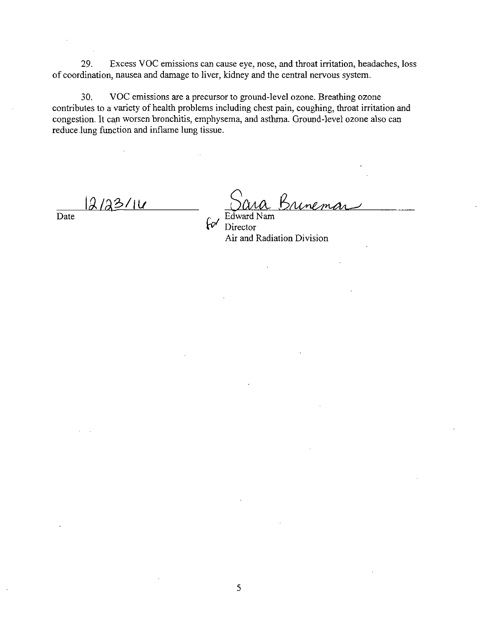29. Excess VOC emissions can cause eye, nose, and throat irritation, headaches, loss of coordination, nausea and damage to liver, kidney and the central nervous system.

30. VOC emissions are a precursor to ground-level ozone. Breathing ozone contributes to a variety of health problems including chest pain, coughing, throat irritation and congestion. It can worsen bronchitis, emphysema, and asthma. Ground-level ozone also can reduce lung function and inflame lung tissue.

 $2/23/10$ 

Date  $r = \sqrt{2\pi r^2}$  Date **Director** Air and Radiation Division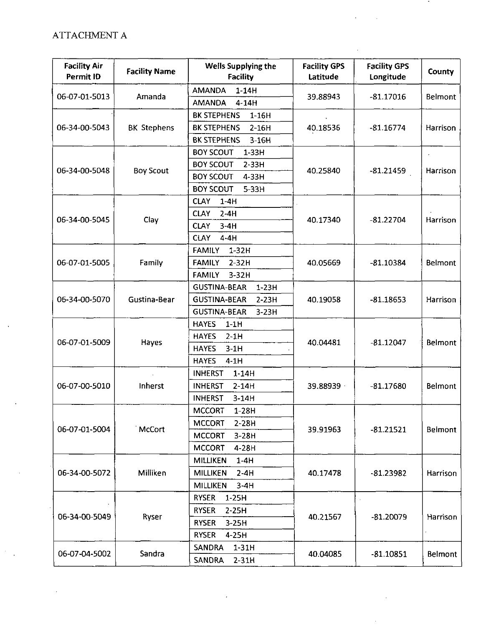# ATTACHMENT A

÷,

| <b>Facility Air</b><br>Permit ID | <b>Facility Name</b> | Wells Supplying the<br><b>Facility</b> | <b>Facility GPS</b><br>Latitude | <b>Facility GPS</b><br>Longitude | County         |
|----------------------------------|----------------------|----------------------------------------|---------------------------------|----------------------------------|----------------|
| 06-07-01-5013                    | Amanda               | <b>AMANDA</b><br>$1-14H$               |                                 | $-81.17016$                      | Belmont        |
|                                  |                      | <b>AMANDA</b><br>$4-14H$               | 39.88943                        |                                  |                |
| 06-34-00-5043                    | <b>BK Stephens</b>   | <b>BK STEPHENS</b><br>$1-16H$          |                                 | $-81.16774$                      | Harrison       |
|                                  |                      | <b>BK STEPHENS</b><br>$2-16H$          | 40.18536                        |                                  |                |
|                                  |                      | <b>BK STEPHENS</b><br>$3-16H$          |                                 |                                  |                |
| 06-34-00-5048                    | <b>Boy Scout</b>     | <b>BOY SCOUT</b><br>$1-33H$            |                                 | $-81.21459$                      | Harrison       |
|                                  |                      | <b>BOY SCOUT</b><br>$2-33H$            |                                 |                                  |                |
|                                  |                      | <b>BOY SCOUT</b><br>4-33H              | 40.25840                        |                                  |                |
|                                  |                      | <b>BOY SCOUT</b><br>$5-33H$            |                                 |                                  |                |
|                                  | Clay                 | <b>CLAY</b><br>$1-4H$                  |                                 | $-81.22704$                      | Harrison       |
|                                  |                      | $2-4H$<br><b>CLAY</b>                  |                                 |                                  |                |
| 06-34-00-5045                    |                      | <b>CLAY</b><br>$3-4H$                  | 40.17340                        |                                  |                |
|                                  |                      | <b>CLAY</b><br>$4-4H$                  |                                 |                                  |                |
|                                  | Family               | <b>FAMILY</b><br>$1-32H$               |                                 | $-81.10384$                      | <b>Belmont</b> |
| 06-07-01-5005                    |                      | <b>FAMILY</b><br>$2-32H$               | 40.05669                        |                                  |                |
|                                  |                      | <b>FAMILY</b><br>$3-32H$               |                                 |                                  |                |
|                                  | Gustina-Bear         | <b>GUSTINA-BEAR</b><br>$1-23H$         |                                 | $-81.18653$                      | Harrison       |
| 06-34-00-5070                    |                      | <b>GUSTINA-BEAR</b><br>$2-23H$         | 40.19058                        |                                  |                |
|                                  |                      | <b>GUSTINA-BEAR</b><br>$3-23H$         |                                 |                                  |                |
|                                  | Hayes                | <b>HAYES</b><br>$1-1H$                 |                                 | $-81.12047$                      | Belmont        |
|                                  |                      | <b>HAYES</b><br>$2-1H$                 | 40.04481                        |                                  |                |
| 06-07-01-5009                    |                      | <b>HAYES</b><br>$3-1H$                 |                                 |                                  |                |
|                                  |                      | $4-1H$<br><b>HAYES</b>                 |                                 |                                  |                |
|                                  | Inherst              | <b>INHERST</b><br>$1-14H$              | 39.88939                        | $-81.17680$                      | Belmont        |
| 06-07-00-5010                    |                      | <b>INHERST</b><br>$2-14H$              |                                 |                                  |                |
|                                  |                      | <b>INHERST</b><br>$3-14H$              |                                 |                                  |                |
|                                  | McCort               | <b>MCCORT</b><br>$1-28H$               |                                 | $-81.21521$                      | Belmont        |
| 06-07-01-5004                    |                      | <b>MCCORT</b><br>$2-28H$               |                                 |                                  |                |
|                                  |                      | <b>MCCORT</b><br>$3-28H$               | 39.91963                        |                                  |                |
|                                  |                      | <b>MCCORT</b><br>4-28H                 |                                 |                                  |                |
| 06-34-00-5072                    | Miliiken             | MILLIKEN<br>$1-4H$                     | 40.17478                        | $-81.23982$                      | Harrison       |
|                                  |                      | MILLIKEN<br>$2-4H$                     |                                 |                                  |                |
|                                  |                      | <b>MILLIKEN</b><br>$3-4H$              |                                 |                                  |                |
| 06-34-00-5049                    | Ryser                | <b>RYSER</b><br>$1-25H$                | 40.21567                        | $-81.20079$                      | Harrison       |
|                                  |                      | <b>RYSER</b><br>$2-25H$                |                                 |                                  |                |
|                                  |                      | <b>RYSER</b><br>$3-25H$                |                                 |                                  |                |
|                                  |                      | <b>RYSER</b><br>4-25H                  |                                 |                                  |                |
| 06-07-04-5002                    | Sandra               | <b>SANDRA</b><br>$1-31H$               | 40.04085                        | $-81.10851$                      | Belmont        |
|                                  |                      | <b>SANDRA</b><br>$2-31H$               |                                 |                                  |                |

 $\overline{ }$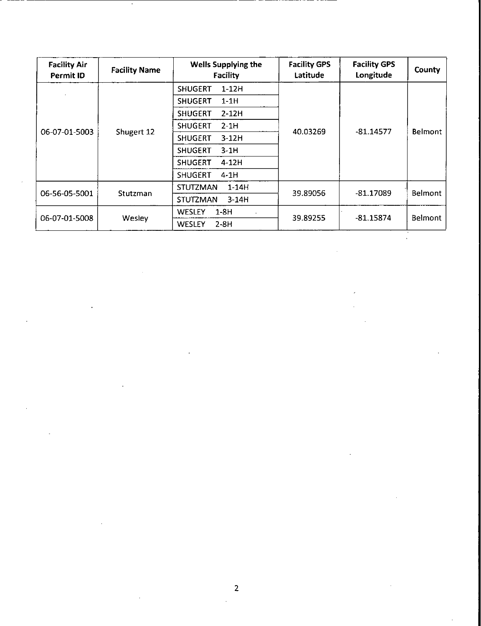| <b>Facility Air</b><br>Permit ID | <b>Facility Name</b> | <b>Wells Supplying the</b><br><b>Facility</b> | <b>Facility GPS</b><br>Latitude | <b>Facility GPS</b><br>Longitude | County         |
|----------------------------------|----------------------|-----------------------------------------------|---------------------------------|----------------------------------|----------------|
| 06-07-01-5003                    | Shugert 12           | <b>SHUGERT</b><br>$1-12H$                     | 40.03269                        | $-81.14577$                      | <b>Belmont</b> |
|                                  |                      | <b>SHUGERT</b><br>$1-1H$                      |                                 |                                  |                |
|                                  |                      | $2 - 12H$<br><b>SHUGERT</b>                   |                                 |                                  |                |
|                                  |                      | <b>SHUGERT</b><br>$2-1H$                      |                                 |                                  |                |
|                                  |                      | <b>SHUGERT</b><br>$3-12H$                     |                                 |                                  |                |
|                                  |                      | <b>SHUGERT</b><br>$3-1H$                      |                                 |                                  |                |
|                                  |                      | 4-12H<br><b>SHUGERT</b>                       |                                 |                                  |                |
|                                  |                      | <b>SHUGERT</b><br>$4-1H$                      |                                 |                                  |                |
| 06-56-05-5001                    | Stutzman             | $1-14H$<br><b>STUTZMAN</b>                    | 39.89056                        | -81.17089                        | Belmont        |
|                                  |                      | $3-14H$<br><b>STUTZMAN</b>                    |                                 |                                  |                |
| 06-07-01-5008                    | Wesley               | <b>WESLEY</b><br>$1-8H$                       | 39.89255                        | $-81.15874$                      | <b>Belmont</b> |
|                                  |                      | $2-8H$<br><b>WESLEY</b>                       |                                 |                                  |                |

 $\ddot{\phantom{a}}$ 

 $\hat{\mathcal{A}}$ 

 $\hat{\mathcal{L}}$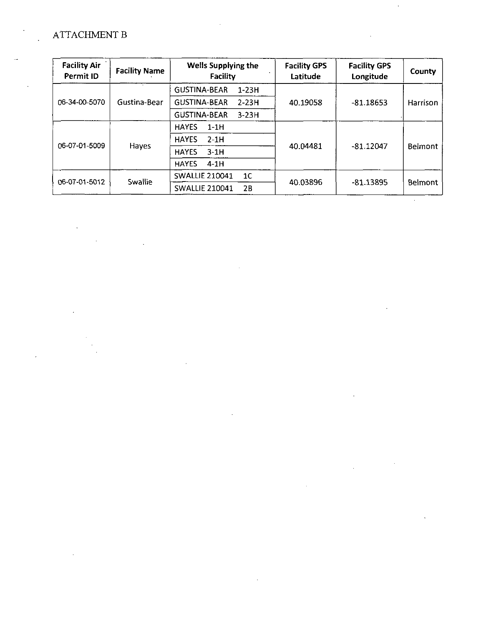# ATTACHMENT B

| <b>Facility Air</b><br>Permit ID | <b>Facility Name</b> | <b>Wells Supplying the</b><br>Facility  | <b>Facility GPS</b><br>Latitude | <b>Facility GPS</b><br>Longitude | County         |
|----------------------------------|----------------------|-----------------------------------------|---------------------------------|----------------------------------|----------------|
| 06-34-00-5070                    | Gustina-Bear         | <b>GUSTINA-BEAR</b><br>$1-23H$          | 40.19058                        | $-81.18653$                      | Harrison       |
|                                  |                      | <b>GUSTINA-BEAR</b><br>$2 - 23H$        |                                 |                                  |                |
|                                  |                      | <b>GUSTINA-BEAR</b><br>$3-23H$          |                                 |                                  |                |
| 06-07-01-5009                    | Hayes                | <b>HAYES</b><br>$1-1H$                  |                                 | $-81.12047$                      | Belmont        |
|                                  |                      | <b>HAYES</b><br>$2-1H$                  | 40.04481                        |                                  |                |
|                                  |                      | <b>HAYES</b><br>$3-1H$                  |                                 |                                  |                |
|                                  |                      | <b>HAYES</b><br>$4-1H$                  |                                 |                                  |                |
| 06-07-01-5012                    | Swallie              | <b>SWALLIE 210041</b><br>1 <sup>C</sup> | 40.03896                        | -81.13895                        | <b>Belmont</b> |
|                                  |                      | <b>SWALLIE 210041</b><br>2B             |                                 |                                  |                |

 $\sim$   $\sim$